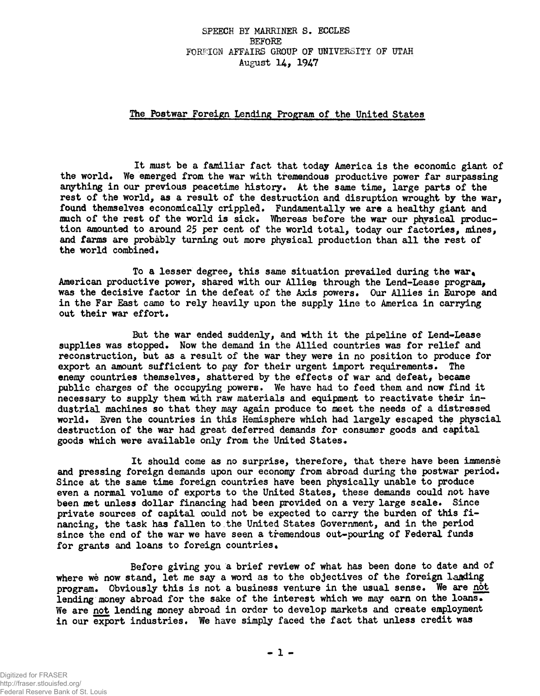## **SPEECH BY MARRINER S. ECCLES BEFORE FOREIGN AFFAIRS GROUP OF UNIVERSITY OF UTAH August 14., I**947

## **The Postwar Foreign Lending Program of the United States**

**It must be a familiar fact that today America is the economic giant of the world. We emerged from the war with tremendous productive power far surpassing anything in our previous peacetime history. At the same time, large parts of the rest of the world, as a result of the destruction and disruption wrought by the war, found themselves economically crippled. Fundamentally we are a healthy giant and much of the rest of the world is sick. Whereas before the war our physical production amounted to around 25 per cent of the world total, today our factories, mines, and farms are probably turning out more physical production than all the rest of the world combined.**

**To a lesser degree, this same situation prevailed during the war, American productive power, shared with our Allies through the Lend-Lease program, was the decisive factor in the defeat of the Axis powers. Our Allies in Europe and in the Far East came to rely heavily upon the supply line to America in carrying out their war effort.**

**But the war ended suddenly, and with it the pipeline of Lend-Lease supplies was stopped. Now the demand in the Allied countries was for relief and reconstruction, but as a result of the war they were in no position to produce for export an amount sufficient to pay for their urgent import requirements. The enemy countries themselves, shattered by the effects of war and defeat, became public charges of the occupying powers. We have had to feed them and now find it necessary to supply them with raw materials and equipment to reactivate their industrial machines so that they may again produce to meet the needs of a distressed world. Even the countries in this Hemisphere which had largely escaped the physcial destruction of the war had great deferred demands for consumer goods and capital goods which were available only from the United States.**

**It should come as no surprise, therefore, that there have been immense and pressing foreign demands upon our economy from abroad during the postwar period. Since at the same time foreign countries have been physically unable to produce even a normal volume of exports to the United States, these demands could not have been met unless dollar financing had been provided on a very large scale. Since private sources of capital could not be expected to carry the burden of this financing, the task has fallen to the United States Government, and in the period since the end of the war we have seen a tremendous out-pouring of Federal funds for grants and loans to foreign countries.**

**Before giving you a brief review of what has been done to date and of where we now stand, let me say a word as to the objectives of the foreign landing program. Obviously this is not a business venture in the usual sense. We are not lending money abroad for the sake of the interest which we may earn on the loans. We are not lending money abroad in order to develop markets and create employment** in our export industries. We have simply faced the fact that unless credit was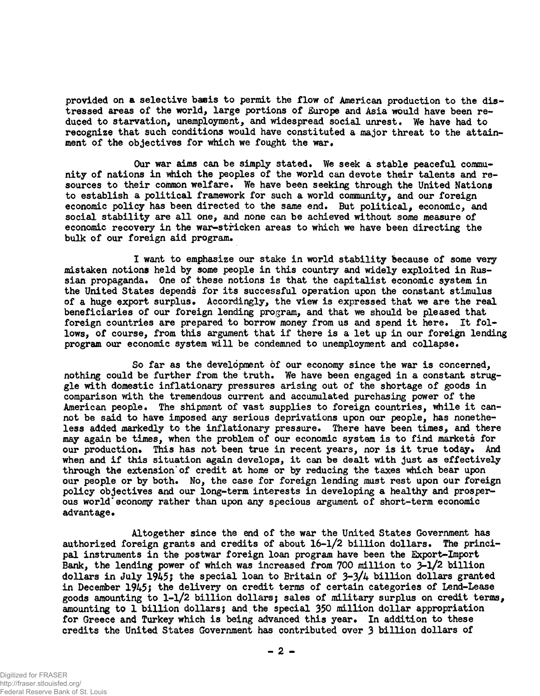**provided on a selective basis to permit the flow of American production to the distressed areas of the world, large portions of Europe and Asia would have been reduced to starvation, unemployment, and widespread social unrest. We have had to recognize that such conditions would have constituted a major threat to the attainment of the objectives for which we fought the war.**

**Our war aims can be simply stated. We seek a stable peaceful community of nations in which the peoples of the world can devote their talents and resources to their common welfare. We have been seeking through the United Nations to establish a political framework for such a world community, and our foreign economic policy has been directed to the same end. But political, economic, and social stability are all one, and none can be achieved without some measure of economic recovery in the war-stricken areas to which we have been directing the bulk of our foreign aid program.**

**I want to emphasize our stake in world stability because of some very mistaken notions held by some people in this country and widely exploited in Russian propaganda. One of these notions is that the capitalist economic system in the United States depends for its successful operation upon the constant stimulus of a huge export surplus. Accordingly, the view is expressed that we are the real beneficiaries of our foreign lending program, and that we should be pleased that foreign countries are prepared to borrow money from us and spend it here. It follows, of course, from this argument that if there is a let up in our foreign lending program our economic system will be condemned to unemployment and collapse.**

**So far as the development of our economy since the war is concerned, nothing could be further from the truth. We have been engaged in a constant struggle with domestic inflationary pressures arising out of the shortage of goods in comparison with the tremendous current and accumulated purchasing power of the American people. The shipment of vast supplies to foreign countries, while it cannot be said to have imposed any serious deprivations upon our people, has nonetheless added markedly to the inflationary pressure. There have been times, and there may again be times, when the problem of our economic system is to find markets for** our production. This has not been true in recent years, nor is it true today. And **when and if this situation again develops, it can be dealt with just as effectively through the extension'of credit at home or by reducing the taxes which bear upon our people or by both. No, the case for foreign lending must rest upon our foreign policy objectives and our long-term interests in developing a healthy and prosperous world'economy rather than upon any specious argument of short-term economic advantage.**

**Altogether since the end of the war the United States Government has authorized foreign grants and credits of about 16-1/2 billion dollars. The principal instruments in the postwar foreign loan program have been the Export-Import Bank, the lending power of which was increased from 700 million to 3-1/2 billion** dollars in July 1945; the special loan to Britain of  $3-3/4$  billion dollars granted in December 1945; the delivery on credit terms of certain categories of Lend-Lease **goods amounting to 1-1/2 billion dollars; sales of military surplus on credit terms, amounting to 1 billion dollars} and the special 350 million dollar appropriation for Greece and Turkey which is being advanced this year. In addition to these credits the United States Government has contributed over 3 billion dollars of**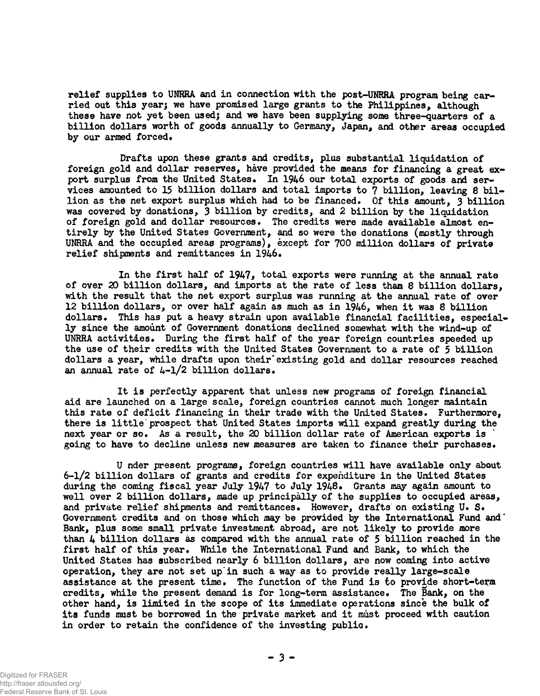**relief supplies to UNRRA and in connection with the post-UNRRA program being carried out this year; we have promised large grants to the Philippines, although these have not yet been usedj and we have been supplying some three-quarters of a billion dollars worth of goods annually to Germany, Japan, and other areas occupied** by our armed forced.

**Drafts upon these grants and credits, plus substantial liquidation of foreign gold and dollar reserves, have provided the means for financing a great export surplus from the United States. In 1946 our total exports of goods and ser**vices amounted to 15 billion dollars and total imports to  $\overline{7}$  billion, leaving 8 bil**lion as the net export surplus which had to be financed. Of this amount, 3 billion was covered by donations, 3 billion by credits, and 2 billion by the liquidation of foreign gold and dollar resources. The credits were made available almost entirely by the United States Government, and so were the donations (mostly through UNRRA and the occupied areas programs), except for 700 million dollars of private relief shipments and remittances in 1946.**

**In the first half of 1947, total exports were running at the annual rate of over 20 billion dollars, and imports at the rate of less than 8 billion dollars, with the result that the net export surplus was running at the annual rate of over 12 billion dollars, or over half again as much as in 1946, when it was 8 billion dollars. This has put a heavy strain upon available financial facilities, especially since the amount of Government donations declined somewhat with the wind-up of UNRRA activities. During the first half of the year foreign countries speeded up the use of their credits with the United States Government to a rate of 5 billion dollars a year, while drafts upon their'existing gold and dollar resources reached an annual rate of 4-1/2 billion dollars.**

**It is perfectly apparent that unless new programs of foreign financial aid are launched on a large scale, foreign countries cannot much longer maintain this rate of deficit financing in their trade with the United States. Furthermore, there is little prospect that United States imports will expand greatly during the next year or so. As a result, the 20 billion dollar rate of American exports is going to have to decline unless new measures are taken to finance their purchases.**

**U nder present programs, foreign countries will have available only about 6-1/2 billion dollars of grants and credits for expenditure in the United States during the coming fiscal year July 1947 to July 1948. Grants may again amount to well over 2 billion dollars, made up principally of the supplies to occupied areas, and private relief shipments and remittances. However, drafts on existing U. S. Government credits and on those which may be provided by the International Fund and" Bank, plus some small private investment abroad, are not likely to provide more than 4 billion dollars as compared with the annual rate of 5 billion reached in the first half of this year. While the International Fund and Bank, to which the United States has subscribed nearly 6 billion dollars, are now coming into active operation, they are not set up'in such a way as to provide really large-scale assistance at the present time. The function of the Fund is to provide short-term credits, while the present demand is for long-term assistance\* The Bank, on the other hand, is limited in the scope of its immediate operations since the bulk of its funds must be borrowed in the private market and it must proceed with caution in order to retain the confidence of the investing public.**